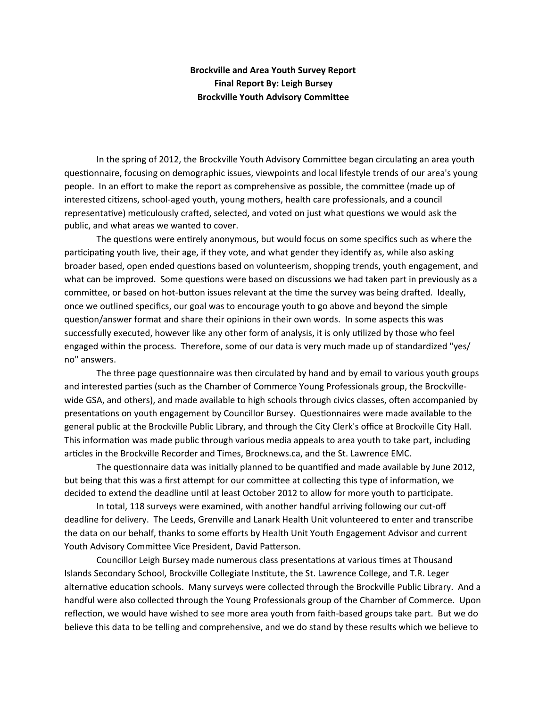### **Brockville and Area Youth Survey Report Final Report By: Leigh Bursey Brockville Youth Advisory Committee**

In the spring of 2012, the Brockville Youth Advisory Committee began circulating an area youth questionnaire, focusing on demographic issues, viewpoints and local lifestyle trends of our area's young people. In an effort to make the report as comprehensive as possible, the committee (made up of interested citizens, school-aged youth, young mothers, health care professionals, and a council representative) meticulously crafted, selected, and voted on just what questions we would ask the public, and what areas we wanted to cover.

The questions were entirely anonymous, but would focus on some specifics such as where the participating youth live, their age, if they vote, and what gender they identify as, while also asking broader based, open ended questions based on volunteerism, shopping trends, youth engagement, and what can be improved. Some questions were based on discussions we had taken part in previously as a committee, or based on hot-button issues relevant at the time the survey was being drafted. Ideally, once we outlined specifics, our goal was to encourage youth to go above and beyond the simple question/answer format and share their opinions in their own words. In some aspects this was successfully executed, however like any other form of analysis, it is only utilized by those who feel engaged within the process. Therefore, some of our data is very much made up of standardized "yes/ no" answers.

The three page questionnaire was then circulated by hand and by email to various youth groups and interested parties (such as the Chamber of Commerce Young Professionals group, the Brockvillewide GSA, and others), and made available to high schools through civics classes, often accompanied by presentations on youth engagement by Councillor Bursey. Questionnaires were made available to the general public at the Brockville Public Library, and through the City Clerk's office at Brockville City Hall. This information was made public through various media appeals to area youth to take part, including articles in the Brockville Recorder and Times, Brocknews.ca, and the St. Lawrence EMC.

The questionnaire data was initially planned to be quantified and made available by June 2012, but being that this was a first attempt for our committee at collecting this type of information, we decided to extend the deadline until at least October 2012 to allow for more youth to participate.

In total, 118 surveys were examined, with another handful arriving following our cut-off deadline for delivery. The Leeds, Grenville and Lanark Health Unit volunteered to enter and transcribe the data on our behalf, thanks to some efforts by Health Unit Youth Engagement Advisor and current Youth Advisory Committee Vice President, David Patterson.

Councillor Leigh Bursey made numerous class presentations at various times at Thousand Islands Secondary School, Brockville Collegiate Institute, the St. Lawrence College, and T.R. Leger alternative education schools. Many surveys were collected through the Brockville Public Library. And a handful were also collected through the Young Professionals group of the Chamber of Commerce. Upon reflection, we would have wished to see more area youth from faith-based groups take part. But we do believe this data to be telling and comprehensive, and we do stand by these results which we believe to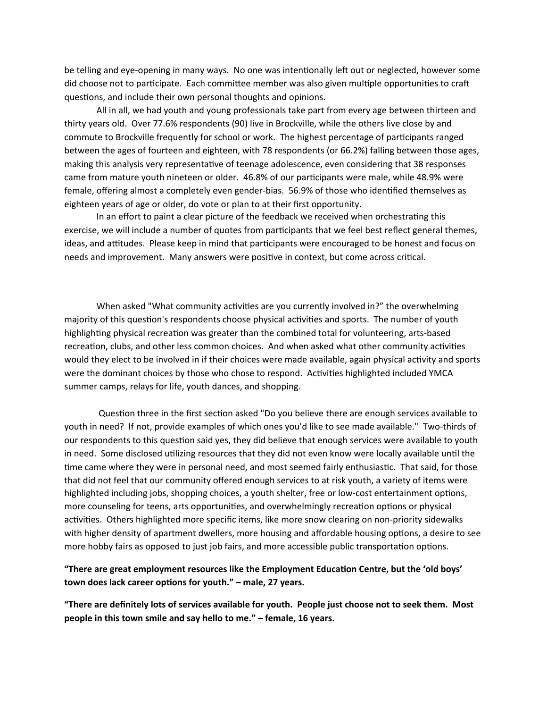be telling and eye-opening in many ways. No one was intentionally left out or neglected, however some did choose not to participate. Each committee member was also given multiple opportunities to craft questions, and include their own personal thoughts and opinions.

All in all, we had youth and young professionals take part from every age between thirteen and thirty years old. Over 77.6% respondents (90) live in Brockville, while the others live close by and commute to Brockville frequently for school or work. The highest percentage of participants ranged between the ages of fourteen and eighteen, with 78 respondents (or 66.2%) falling between those ages, making this analysis very representative of teenage adolescence, even considering that 38 responses came from mature youth nineteen or older. 46.8% of our participants were male, while 48.9% were female, offering almost a completely even gender-bias. 56.9% of those who identified themselves as eighteen years of age or older, do vote or plan to at their first opportunity.

In an effort to paint a clear picture of the feedback we received when orchestrating this exercise, we will include a number of quotes from participants that we feel best reflect general themes, ideas, and attitudes. Please keep in mind that participants were encouraged to be honest and focus on needs and improvement. Many answers were positive in context, but come across critical.

When asked "What community activities are you currently involved in?" the overwhelming majority of this question's respondents choose physical activities and sports. The number of youth highlighting physical recreation was greater than the combined total for volunteering, arts-based recreation, clubs, and other less common choices. And when asked what other community activities would they elect to be involved in if their choices were made available, again physical activity and sports were the dominant choices by those who chose to respond. Activities highlighted included YMCA summer camps, relays for life, youth dances, and shopping.

Question three in the first section asked "Do you believe there are enough services available to youth in need? If not, provide examples of which ones you'd like to see made available." Two-thirds of our respondents to this question said yes, they did believe that enough services were available to youth in need. Some disclosed utilizing resources that they did not even know were locally available until the time came where they were in personal need, and most seemed fairly enthusiastic. That said, for those that did not feel that our community offered enough services to at risk youth, a variety of items were highlighted including jobs, shopping choices, a youth shelter, free or low-cost entertainment options, more counseling for teens, arts opportunities, and overwhelmingly recreation options or physical activities. Others highlighted more specific items, like more snow clearing on non-priority sidewalks with higher density of apartment dwellers, more housing and affordable housing options, a desire to see more hobby fairs as opposed to just job fairs, and more accessible public transportation options.

### "There are great employment resources like the Employment Education Centre, but the 'old boys' town does lack career options for youth." – male, 27 years.

"There are definitely lots of services available for youth. People just choose not to seek them. Most **people in this town smile and say hello to me."** – female, 16 years.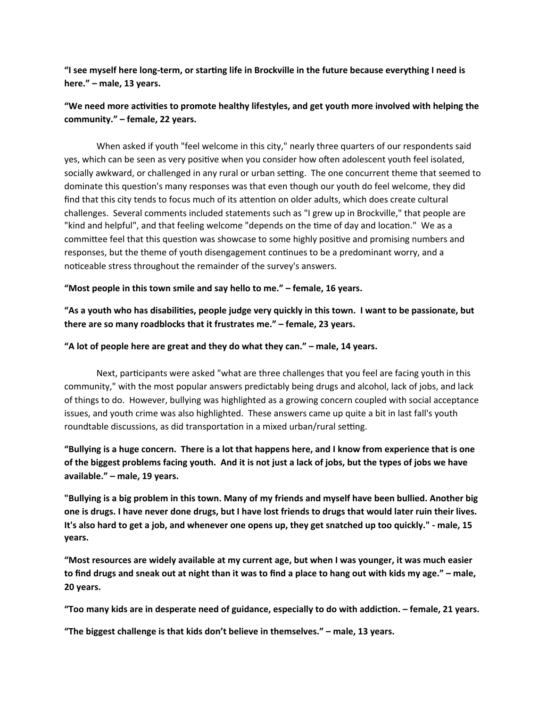"I see myself here long-term, or starting life in Brockville in the future because everything I need is here." - male, 13 years.

# "We need more activities to promote healthy lifestyles, and get youth more involved with helping the community." – female, 22 years.

When asked if youth "feel welcome in this city," nearly three quarters of our respondents said yes, which can be seen as very positive when you consider how often adolescent youth feel isolated, socially awkward, or challenged in any rural or urban setting. The one concurrent theme that seemed to dominate this question's many responses was that even though our youth do feel welcome, they did find that this city tends to focus much of its attention on older adults, which does create cultural challenges. Several comments included statements such as "I grew up in Brockville," that people are "kind and helpful", and that feeling welcome "depends on the time of day and location." We as a committee feel that this question was showcase to some highly positive and promising numbers and responses, but the theme of youth disengagement continues to be a predominant worry, and a noticeable stress throughout the remainder of the survey's answers.

### "Most people in this town smile and say hello to me." – female, 16 years.

## **"As a youth who has disabilities, people judge very quickly in this town. I want to be passionate, but** there are so many roadblocks that it frustrates me." – female, 23 years.

#### "A lot of people here are great and they do what they can." – male, 14 years.

Next, participants were asked "what are three challenges that you feel are facing youth in this community," with the most popular answers predictably being drugs and alcohol, lack of jobs, and lack of things to do. However, bullying was highlighted as a growing concern coupled with social acceptance issues, and youth crime was also highlighted. These answers came up quite a bit in last fall's youth roundtable discussions, as did transportation in a mixed urban/rural setting.

# **"Bullying is a huge concern. There is a lot that happens here, and I know from experience that is one** of the biggest problems facing youth. And it is not just a lack of jobs, but the types of jobs we have available." - male, 19 years.

"Bullying is a big problem in this town. Many of my friends and myself have been bullied. Another big one is drugs. I have never done drugs, but I have lost friends to drugs that would later ruin their lives. It's also hard to get a job, and whenever one opens up, they get snatched up too quickly." - male, 15 **years.**

"Most resources are widely available at my current age, but when I was younger, it was much easier to find drugs and sneak out at night than it was to find a place to hang out with kids my age." – male, **20 years.**

"Too many kids are in desperate need of guidance, especially to do with addiction. - female, 21 years.

**"The biggest challenge is that kids don't believe in themselves."** – male, 13 years.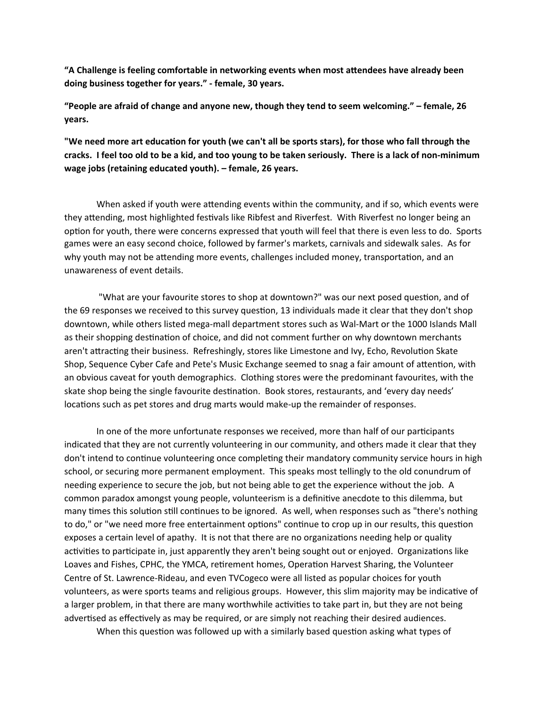"A Challenge is feeling comfortable in networking events when most attendees have already been doing business together for years." - female, 30 years.

**"People are afraid of change and anyone new, though they tend to seem welcoming."** – female, 26 **years.**

"We need more art education for youth (we can't all be sports stars), for those who fall through the cracks. I feel too old to be a kid, and too young to be taken seriously. There is a lack of non-minimum wage jobs (retaining educated youth). - female, 26 years.

When asked if youth were attending events within the community, and if so, which events were they attending, most highlighted festivals like Ribfest and Riverfest. With Riverfest no longer being an option for youth, there were concerns expressed that youth will feel that there is even less to do. Sports games were an easy second choice, followed by farmer's markets, carnivals and sidewalk sales. As for why youth may not be attending more events, challenges included money, transportation, and an unawareness of event details.

"What are your favourite stores to shop at downtown?" was our next posed question, and of the 69 responses we received to this survey question, 13 individuals made it clear that they don't shop downtown, while others listed mega-mall department stores such as Wal-Mart or the 1000 Islands Mall as their shopping destination of choice, and did not comment further on why downtown merchants aren't attracting their business. Refreshingly, stores like Limestone and Ivy, Echo, Revolution Skate Shop, Sequence Cyber Cafe and Pete's Music Exchange seemed to snag a fair amount of attention, with an obvious caveat for youth demographics. Clothing stores were the predominant favourites, with the skate shop being the single favourite destination. Book stores, restaurants, and 'every day needs' locations such as pet stores and drug marts would make-up the remainder of responses.

In one of the more unfortunate responses we received, more than half of our participants indicated that they are not currently volunteering in our community, and others made it clear that they don't intend to continue volunteering once completing their mandatory community service hours in high school, or securing more permanent employment. This speaks most tellingly to the old conundrum of needing experience to secure the job, but not being able to get the experience without the job. A common paradox amongst young people, volunteerism is a definitive anecdote to this dilemma, but many times this solution still continues to be ignored. As well, when responses such as "there's nothing to do," or "we need more free entertainment options" continue to crop up in our results, this question exposes a certain level of apathy. It is not that there are no organizations needing help or quality activities to participate in, just apparently they aren't being sought out or enjoyed. Organizations like Loaves and Fishes, CPHC, the YMCA, retirement homes, Operation Harvest Sharing, the Volunteer Centre of St. Lawrence-Rideau, and even TVCogeco were all listed as popular choices for youth volunteers, as were sports teams and religious groups. However, this slim majority may be indicative of a larger problem, in that there are many worthwhile activities to take part in, but they are not being advertised as effectively as may be required, or are simply not reaching their desired audiences.

When this question was followed up with a similarly based question asking what types of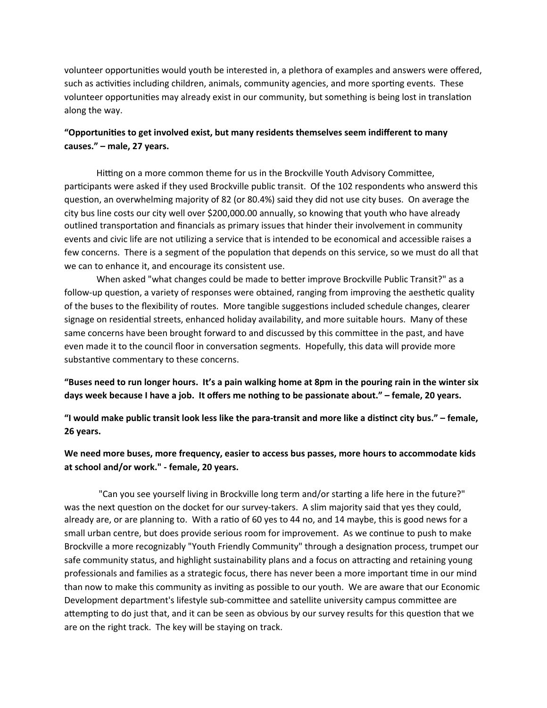volunteer opportunities would youth be interested in, a plethora of examples and answers were offered, such as activities including children, animals, community agencies, and more sporting events. These volunteer opportunities may already exist in our community, but something is being lost in translation along the way.

# "Opportunities to get involved exist, but many residents themselves seem indifferent to many causes." - male, 27 years.

Hitting on a more common theme for us in the Brockville Youth Advisory Committee, participants were asked if they used Brockville public transit. Of the 102 respondents who answerd this question, an overwhelming majority of 82 (or 80.4%) said they did not use city buses. On average the city bus line costs our city well over \$200,000.00 annually, so knowing that youth who have already outlined transportation and financials as primary issues that hinder their involvement in community events and civic life are not utilizing a service that is intended to be economical and accessible raises a few concerns. There is a segment of the population that depends on this service, so we must do all that we can to enhance it, and encourage its consistent use.

When asked "what changes could be made to better improve Brockville Public Transit?" as a follow-up question, a variety of responses were obtained, ranging from improving the aesthetic quality of the buses to the flexibility of routes. More tangible suggestions included schedule changes, clearer signage on residential streets, enhanced holiday availability, and more suitable hours. Many of these same concerns have been brought forward to and discussed by this committee in the past, and have even made it to the council floor in conversation segments. Hopefully, this data will provide more substantive commentary to these concerns.

"Buses need to run longer hours. It's a pain walking home at 8pm in the pouring rain in the winter six days week because I have a job. It offers me nothing to be passionate about." - female, 20 years.

"I would make public transit look less like the para-transit and more like a distinct city bus." – female, **26 years.**

# We need more buses, more frequency, easier to access bus passes, more hours to accommodate kids at school and/or work." - female, 20 years.

"Can you see yourself living in Brockville long term and/or starting a life here in the future?" was the next question on the docket for our survey-takers. A slim majority said that yes they could, already are, or are planning to. With a ratio of 60 yes to 44 no, and 14 maybe, this is good news for a small urban centre, but does provide serious room for improvement. As we continue to push to make Brockville a more recognizably "Youth Friendly Community" through a designation process, trumpet our safe community status, and highlight sustainability plans and a focus on attracting and retaining young professionals and families as a strategic focus, there has never been a more important time in our mind than now to make this community as inviting as possible to our youth. We are aware that our Economic Development department's lifestyle sub-committee and satellite university campus committee are attempting to do just that, and it can be seen as obvious by our survey results for this question that we are on the right track. The key will be staying on track.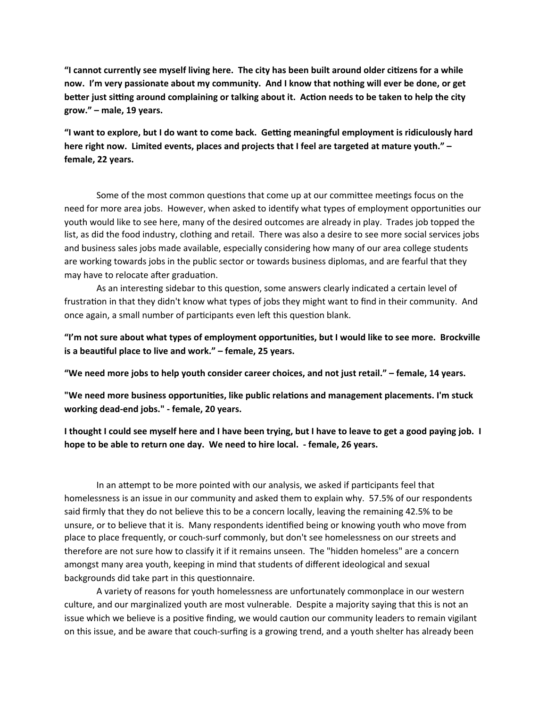"I cannot currently see myself living here. The city has been built around older citizens for a while now. I'm very passionate about my community. And I know that nothing will ever be done, or get **better just sitting around complaining or talking about it. Action needs to be taken to help the city** grow." - male, 19 years.

"I want to explore, but I do want to come back. Getting meaningful employment is ridiculously hard here right now. Limited events, places and projects that I feel are targeted at mature youth." **female, 22 years.**

Some of the most common questions that come up at our committee meetings focus on the need for more area jobs. However, when asked to identify what types of employment opportunities our youth would like to see here, many of the desired outcomes are already in play. Trades job topped the list, as did the food industry, clothing and retail. There was also a desire to see more social services jobs and business sales jobs made available, especially considering how many of our area college students are working towards jobs in the public sector or towards business diplomas, and are fearful that they may have to relocate after graduation.

As an interesting sidebar to this question, some answers clearly indicated a certain level of frustration in that they didn't know what types of jobs they might want to find in their community. And once again, a small number of participants even left this question blank.

"I'm not sure about what types of employment opportunities, but I would like to see more. Brockville is a beautiful place to live and work." – female, 25 years.

"We need more jobs to help youth consider career choices, and not just retail." – female, 14 years.

"We need more business opportunities, like public relations and management placements. I'm stuck working dead-end jobs." - female, 20 years.

**I** thought I could see myself here and I have been trying, but I have to leave to get a good paying job. I hope to be able to return one day. We need to hire local. - female, 26 years.

In an attempt to be more pointed with our analysis, we asked if participants feel that homelessness is an issue in our community and asked them to explain why. 57.5% of our respondents said firmly that they do not believe this to be a concern locally, leaving the remaining 42.5% to be unsure, or to believe that it is. Many respondents identified being or knowing youth who move from place to place frequently, or couch-surf commonly, but don't see homelessness on our streets and therefore are not sure how to classify it if it remains unseen. The "hidden homeless" are a concern amongst many area youth, keeping in mind that students of different ideological and sexual backgrounds did take part in this questionnaire.

A variety of reasons for youth homelessness are unfortunately commonplace in our western culture, and our marginalized youth are most vulnerable. Despite a majority saying that this is not an issue which we believe is a positive finding, we would caution our community leaders to remain vigilant on this issue, and be aware that couch-surfing is a growing trend, and a youth shelter has already been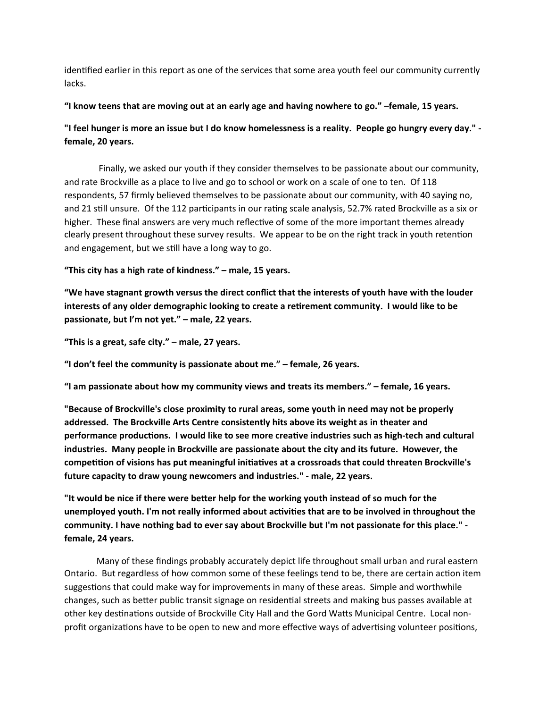identified earlier in this report as one of the services that some area youth feel our community currently lacks.

### "I know teens that are moving out at an early age and having nowhere to go." –female, 15 years.

"I feel hunger is more an issue but I do know homelessness is a reality. People go hungry every day." female, 20 years.

Finally, we asked our youth if they consider themselves to be passionate about our community, and rate Brockville as a place to live and go to school or work on a scale of one to ten. Of 118 respondents, 57 firmly believed themselves to be passionate about our community, with 40 saying no, and 21 still unsure. Of the 112 participants in our rating scale analysis, 52.7% rated Brockville as a six or higher. These final answers are very much reflective of some of the more important themes already clearly present throughout these survey results. We appear to be on the right track in youth retention and engagement, but we still have a long way to go.

"This city has a high rate of kindness." – male, 15 years.

"We have stagnant growth versus the direct conflict that the interests of youth have with the louder interests of any older demographic looking to create a retirement community. I would like to be passionate, but I'm not yet." - male, 22 years.

"This is a great, safe city." – male, 27 years.

"I don't feel the community is passionate about me." – female, 26 years.

"I am passionate about how my community views and treats its members." – female, 16 years.

"Because of Brockville's close proximity to rural areas, some youth in need may not be properly addressed. The Brockville Arts Centre consistently hits above its weight as in theater and **performance productions.** I would like to see more creative industries such as high-tech and cultural industries. Many people in Brockville are passionate about the city and its future. However, the competition of visions has put meaningful initiatives at a crossroads that could threaten Brockville's future capacity to draw young newcomers and industries." - male, 22 years.

"It would be nice if there were better help for the working youth instead of so much for the unemployed youth. I'm not really informed about activities that are to be involved in throughout the community. I have nothing bad to ever say about Brockville but I'm not passionate for this place." **female, 24 years.**

Many of these findings probably accurately depict life throughout small urban and rural eastern Ontario. But regardless of how common some of these feelings tend to be, there are certain action item suggestions that could make way for improvements in many of these areas. Simple and worthwhile changes, such as better public transit signage on residential streets and making bus passes available at other key destinations outside of Brockville City Hall and the Gord Watts Municipal Centre. Local nonprofit organizations have to be open to new and more effective ways of advertising volunteer positions,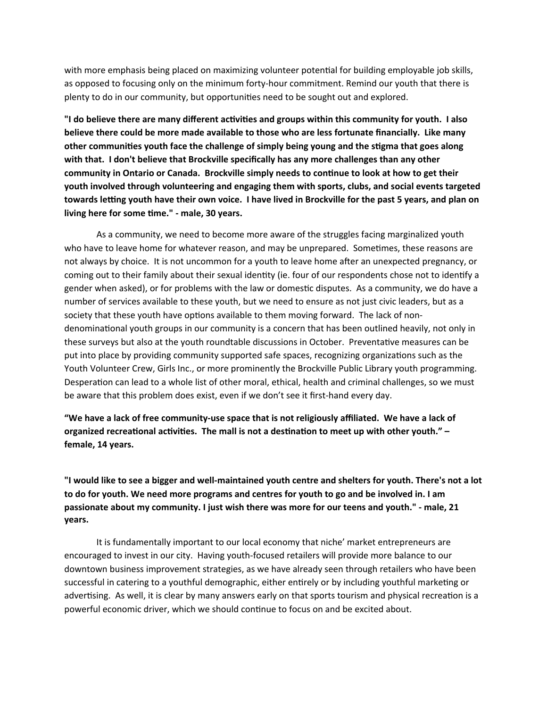with more emphasis being placed on maximizing volunteer potential for building employable job skills, as opposed to focusing only on the minimum forty-hour commitment. Remind our youth that there is plenty to do in our community, but opportunities need to be sought out and explored.

"I do believe there are many different activities and groups within this community for youth. I also believe there could be more made available to those who are less fortunate financially. Like many other communities youth face the challenge of simply being young and the stigma that goes along with that. I don't believe that Brockville specifically has any more challenges than any other community in Ontario or Canada. Brockville simply needs to continue to look at how to get their youth involved through volunteering and engaging them with sports, clubs, and social events targeted **towards letting youth have their own voice. I have lived in Brockville for the past 5 years, and plan on** living here for some time." - male, 30 years.

As a community, we need to become more aware of the struggles facing marginalized youth who have to leave home for whatever reason, and may be unprepared. Sometimes, these reasons are not always by choice. It is not uncommon for a youth to leave home after an unexpected pregnancy, or coming out to their family about their sexual identity (ie. four of our respondents chose not to identify a gender when asked), or for problems with the law or domestic disputes. As a community, we do have a number of services available to these youth, but we need to ensure as not just civic leaders, but as a society that these youth have options available to them moving forward. The lack of nondenominational youth groups in our community is a concern that has been outlined heavily, not only in these surveys but also at the youth roundtable discussions in October. Preventative measures can be put into place by providing community supported safe spaces, recognizing organizations such as the Youth Volunteer Crew, Girls Inc., or more prominently the Brockville Public Library youth programming. Desperation can lead to a whole list of other moral, ethical, health and criminal challenges, so we must be aware that this problem does exist, even if we don't see it first-hand every day.

"We have a lack of free community-use space that is not religiously affiliated. We have a lack of organized recreational activities. The mall is not a destination to meet up with other youth." female, 14 years.

"I would like to see a bigger and well-maintained youth centre and shelters for youth. There's not a lot to do for youth. We need more programs and centres for youth to go and be involved in. I am passionate about my community. I just wish there was more for our teens and youth." - male, 21 **years.**

It is fundamentally important to our local economy that niche' market entrepreneurs are encouraged to invest in our city. Having youth-focused retailers will provide more balance to our downtown business improvement strategies, as we have already seen through retailers who have been successful in catering to a youthful demographic, either entirely or by including youthful marketing or advertising. As well, it is clear by many answers early on that sports tourism and physical recreation is a powerful economic driver, which we should continue to focus on and be excited about.